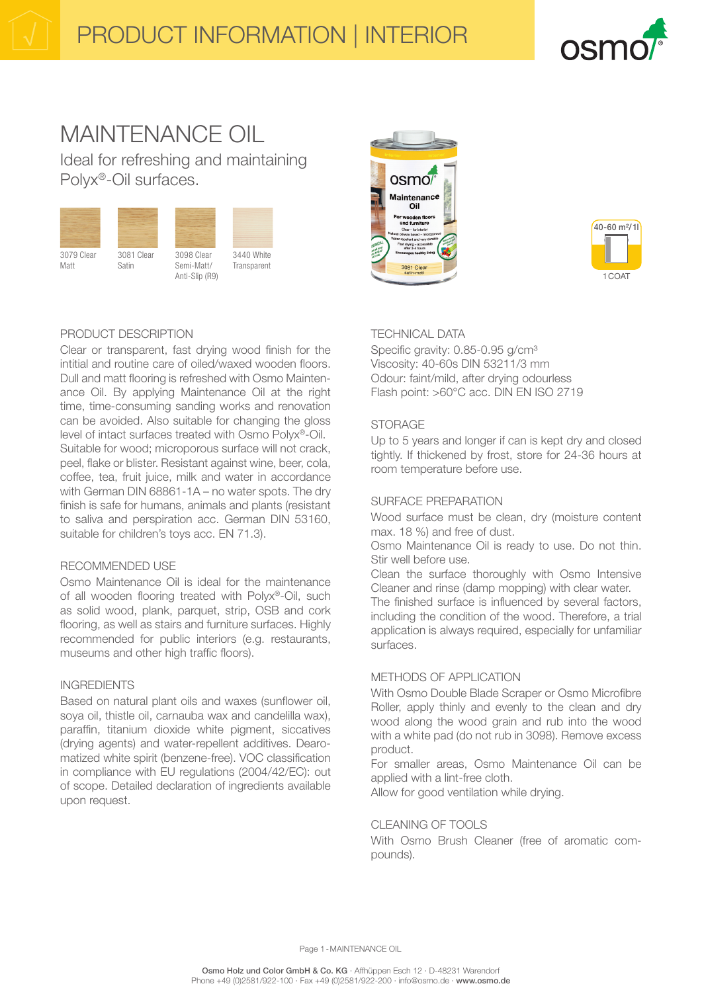

# MAINTENANCE OIL Ideal for refreshing and maintaining

Polyx®-Oil surfaces.





**Transparent** 





# PRODUCT DESCRIPTION

Clear or transparent, fast drying wood finish for the intitial and routine care of oiled/waxed wooden floors. Dull and matt flooring is refreshed with Osmo Maintenance Oil. By applying Maintenance Oil at the right time, time-consuming sanding works and renovation can be avoided. Also suitable for changing the gloss level of intact surfaces treated with Osmo Polyx®-Oil. Suitable for wood; microporous surface will not crack, peel, flake or blister. Resistant against wine, beer, cola, coffee, tea, fruit juice, milk and water in accordance with German DIN 68861-1A – no water spots. The dry finish is safe for humans, animals and plants (resistant to saliva and perspiration acc. German DIN 53160, suitable for children's toys acc. EN 71.3).

# RECOMMENDED USE

Osmo Maintenance Oil is ideal for the maintenance of all wooden flooring treated with Polyx®-Oil, such as solid wood, plank, parquet, strip, OSB and cork flooring, as well as stairs and furniture surfaces. Highly recommended for public interiors (e.g. restaurants, museums and other high traffic floors).

# INGREDIENTS

Based on natural plant oils and waxes (sunflower oil, soya oil, thistle oil, carnauba wax and candelilla wax), paraffin, titanium dioxide white pigment, siccatives (drying agents) and water-repellent additives. Dearomatized white spirit (benzene-free). VOC classification in compliance with EU regulations (2004/42/EC): out of scope. Detailed declaration of ingredients available upon request.

# TECHNICAL DATA

Specific gravity: 0.85-0.95 g/cm<sup>3</sup> Viscosity: 40-60s DIN 53211/3 mm Odour: faint/mild, after drying odourless Flash point: >60°C acc. DIN EN ISO 2719

# STORAGE

Up to 5 years and longer if can is kept dry and closed tightly. If thickened by frost, store for 24-36 hours at room temperature before use.

# SURFACE PREPARATION

Wood surface must be clean, dry (moisture content max. 18 %) and free of dust.

Osmo Maintenance Oil is ready to use. Do not thin. Stir well before use.

Clean the surface thoroughly with Osmo Intensive Cleaner and rinse (damp mopping) with clear water.

The finished surface is influenced by several factors, including the condition of the wood. Therefore, a trial application is always required, especially for unfamiliar surfaces.

# METHODS OF APPLICATION

With Osmo Double Blade Scraper or Osmo Microfibre Roller, apply thinly and evenly to the clean and dry wood along the wood grain and rub into the wood with a white pad (do not rub in 3098). Remove excess product.

For smaller areas, Osmo Maintenance Oil can be applied with a lint-free cloth.

Allow for good ventilation while drying.

# CLEANING OF TOOLS

With Osmo Brush Cleaner (free of aromatic compounds).